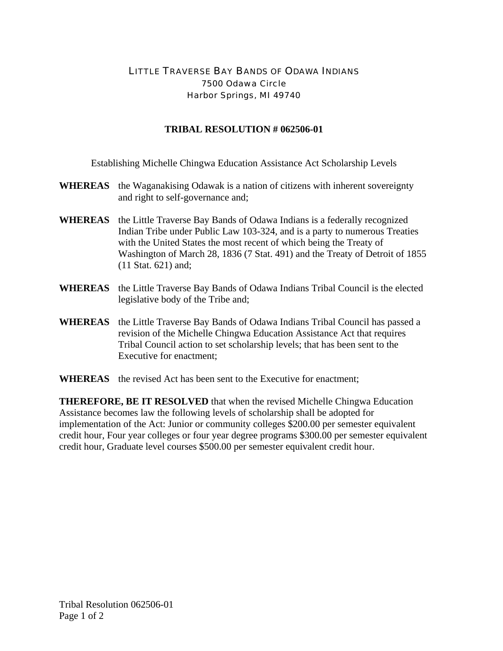## LITTLE TRAVERSE BAY BANDS OF ODAWA INDIANS 7500 Odawa Circle Harbor Springs, MI 49740

## **TRIBAL RESOLUTION # 062506-01**

Establishing Michelle Chingwa Education Assistance Act Scholarship Levels

- **WHEREAS** the Waganakising Odawak is a nation of citizens with inherent sovereignty and right to self-governance and;
- **WHEREAS** the Little Traverse Bay Bands of Odawa Indians is a federally recognized Indian Tribe under Public Law 103-324, and is a party to numerous Treaties with the United States the most recent of which being the Treaty of Washington of March 28, 1836 (7 Stat. 491) and the Treaty of Detroit of 1855 (11 Stat. 621) and;
- **WHEREAS** the Little Traverse Bay Bands of Odawa Indians Tribal Council is the elected legislative body of the Tribe and;
- **WHEREAS** the Little Traverse Bay Bands of Odawa Indians Tribal Council has passed a revision of the Michelle Chingwa Education Assistance Act that requires Tribal Council action to set scholarship levels; that has been sent to the Executive for enactment;
- **WHEREAS** the revised Act has been sent to the Executive for enactment;

**THEREFORE, BE IT RESOLVED** that when the revised Michelle Chingwa Education Assistance becomes law the following levels of scholarship shall be adopted for implementation of the Act: Junior or community colleges \$200.00 per semester equivalent credit hour, Four year colleges or four year degree programs \$300.00 per semester equivalent credit hour, Graduate level courses \$500.00 per semester equivalent credit hour.